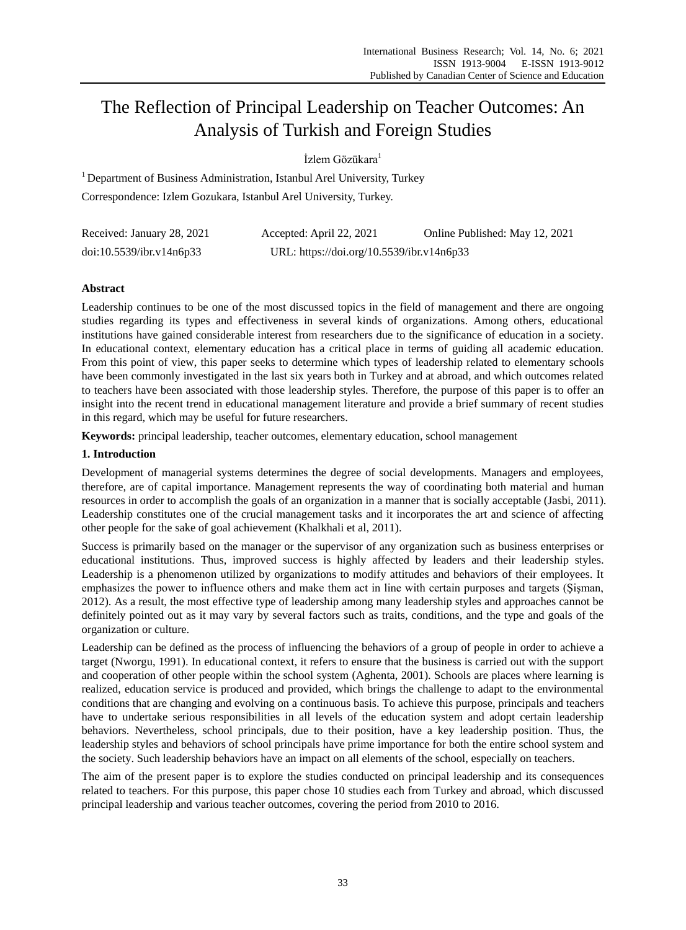# The Reflection of Principal Leadership on Teacher Outcomes: An Analysis of Turkish and Foreign Studies

İzlem Gözükara<sup>1</sup>

<sup>1</sup> Department of Business Administration, Istanbul Arel University, Turkey Correspondence: Izlem Gozukara, Istanbul Arel University, Turkey.

| Received: January 28, 2021 | Accepted: April 22, 2021                  | Online Published: May 12, 2021 |
|----------------------------|-------------------------------------------|--------------------------------|
| doi:10.5539/ibr.v14n6p33   | URL: https://doi.org/10.5539/ibr.v14n6p33 |                                |

# **Abstract**

Leadership continues to be one of the most discussed topics in the field of management and there are ongoing studies regarding its types and effectiveness in several kinds of organizations. Among others, educational institutions have gained considerable interest from researchers due to the significance of education in a society. In educational context, elementary education has a critical place in terms of guiding all academic education. From this point of view, this paper seeks to determine which types of leadership related to elementary schools have been commonly investigated in the last six years both in Turkey and at abroad, and which outcomes related to teachers have been associated with those leadership styles. Therefore, the purpose of this paper is to offer an insight into the recent trend in educational management literature and provide a brief summary of recent studies in this regard, which may be useful for future researchers.

**Keywords:** principal leadership, teacher outcomes, elementary education, school management

## **1. Introduction**

Development of managerial systems determines the degree of social developments. Managers and employees, therefore, are of capital importance. Management represents the way of coordinating both material and human resources in order to accomplish the goals of an organization in a manner that is socially acceptable (Jasbi, 2011). Leadership constitutes one of the crucial management tasks and it incorporates the art and science of affecting other people for the sake of goal achievement (Khalkhali et al, 2011).

Success is primarily based on the manager or the supervisor of any organization such as business enterprises or educational institutions. Thus, improved success is highly affected by leaders and their leadership styles. Leadership is a phenomenon utilized by organizations to modify attitudes and behaviors of their employees. It emphasizes the power to influence others and make them act in line with certain purposes and targets (Şişman, 2012). As a result, the most effective type of leadership among many leadership styles and approaches cannot be definitely pointed out as it may vary by several factors such as traits, conditions, and the type and goals of the organization or culture.

Leadership can be defined as the process of influencing the behaviors of a group of people in order to achieve a target (Nworgu, 1991). In educational context, it refers to ensure that the business is carried out with the support and cooperation of other people within the school system (Aghenta, 2001). Schools are places where learning is realized, education service is produced and provided, which brings the challenge to adapt to the environmental conditions that are changing and evolving on a continuous basis. To achieve this purpose, principals and teachers have to undertake serious responsibilities in all levels of the education system and adopt certain leadership behaviors. Nevertheless, school principals, due to their position, have a key leadership position. Thus, the leadership styles and behaviors of school principals have prime importance for both the entire school system and the society. Such leadership behaviors have an impact on all elements of the school, especially on teachers.

The aim of the present paper is to explore the studies conducted on principal leadership and its consequences related to teachers. For this purpose, this paper chose 10 studies each from Turkey and abroad, which discussed principal leadership and various teacher outcomes, covering the period from 2010 to 2016.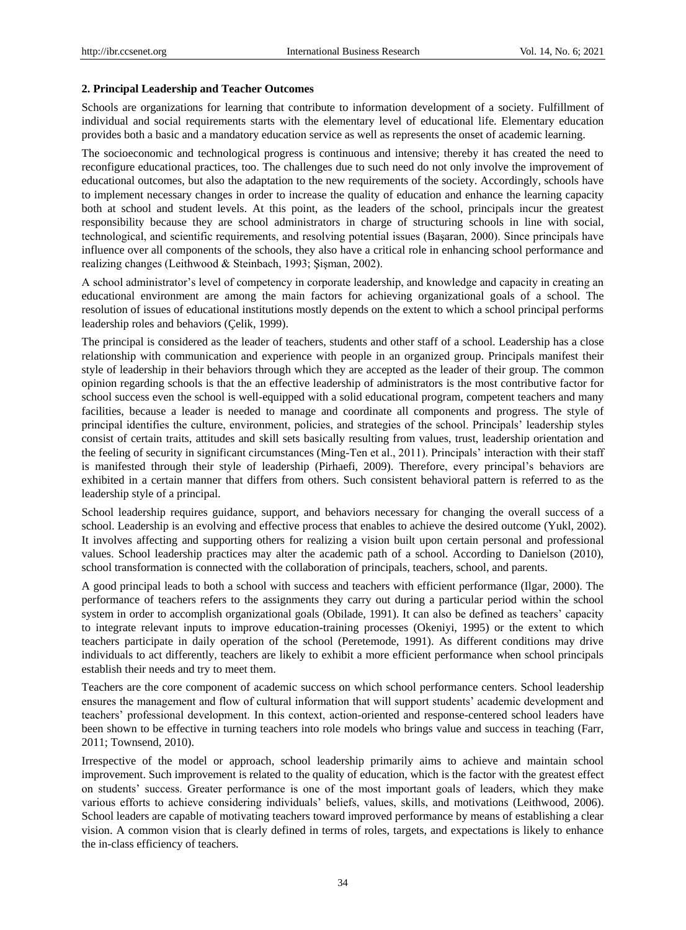## **2. Principal Leadership and Teacher Outcomes**

Schools are organizations for learning that contribute to information development of a society. Fulfillment of individual and social requirements starts with the elementary level of educational life. Elementary education provides both a basic and a mandatory education service as well as represents the onset of academic learning.

The socioeconomic and technological progress is continuous and intensive; thereby it has created the need to reconfigure educational practices, too. The challenges due to such need do not only involve the improvement of educational outcomes, but also the adaptation to the new requirements of the society. Accordingly, schools have to implement necessary changes in order to increase the quality of education and enhance the learning capacity both at school and student levels. At this point, as the leaders of the school, principals incur the greatest responsibility because they are school administrators in charge of structuring schools in line with social, technological, and scientific requirements, and resolving potential issues (Başaran, 2000). Since principals have influence over all components of the schools, they also have a critical role in enhancing school performance and realizing changes (Leithwood & Steinbach, 1993; Şişman, 2002).

A school administrator's level of competency in corporate leadership, and knowledge and capacity in creating an educational environment are among the main factors for achieving organizational goals of a school. The resolution of issues of educational institutions mostly depends on the extent to which a school principal performs leadership roles and behaviors (Çelik, 1999).

The principal is considered as the leader of teachers, students and other staff of a school. Leadership has a close relationship with communication and experience with people in an organized group. Principals manifest their style of leadership in their behaviors through which they are accepted as the leader of their group. The common opinion regarding schools is that the an effective leadership of administrators is the most contributive factor for school success even the school is well-equipped with a solid educational program, competent teachers and many facilities, because a leader is needed to manage and coordinate all components and progress. The style of principal identifies the culture, environment, policies, and strategies of the school. Principals' leadership styles consist of certain traits, attitudes and skill sets basically resulting from values, trust, leadership orientation and the feeling of security in significant circumstances (Ming-Ten et al., 2011). Principals' interaction with their staff is manifested through their style of leadership (Pirhaefi, 2009). Therefore, every principal's behaviors are exhibited in a certain manner that differs from others. Such consistent behavioral pattern is referred to as the leadership style of a principal.

School leadership requires guidance, support, and behaviors necessary for changing the overall success of a school. Leadership is an evolving and effective process that enables to achieve the desired outcome (Yukl, 2002). It involves affecting and supporting others for realizing a vision built upon certain personal and professional values. School leadership practices may alter the academic path of a school. According to Danielson (2010), school transformation is connected with the collaboration of principals, teachers, school, and parents.

A good principal leads to both a school with success and teachers with efficient performance (Ilgar, 2000). The performance of teachers refers to the assignments they carry out during a particular period within the school system in order to accomplish organizational goals (Obilade, 1991). It can also be defined as teachers' capacity to integrate relevant inputs to improve education-training processes (Okeniyi, 1995) or the extent to which teachers participate in daily operation of the school (Peretemode, 1991). As different conditions may drive individuals to act differently, teachers are likely to exhibit a more efficient performance when school principals establish their needs and try to meet them.

Teachers are the core component of academic success on which school performance centers. School leadership ensures the management and flow of cultural information that will support students' academic development and teachers' professional development. In this context, action-oriented and response-centered school leaders have been shown to be effective in turning teachers into role models who brings value and success in teaching (Farr, 2011; Townsend, 2010).

Irrespective of the model or approach, school leadership primarily aims to achieve and maintain school improvement. Such improvement is related to the quality of education, which is the factor with the greatest effect on students' success. Greater performance is one of the most important goals of leaders, which they make various efforts to achieve considering individuals' beliefs, values, skills, and motivations (Leithwood, 2006). School leaders are capable of motivating teachers toward improved performance by means of establishing a clear vision. A common vision that is clearly defined in terms of roles, targets, and expectations is likely to enhance the in-class efficiency of teachers.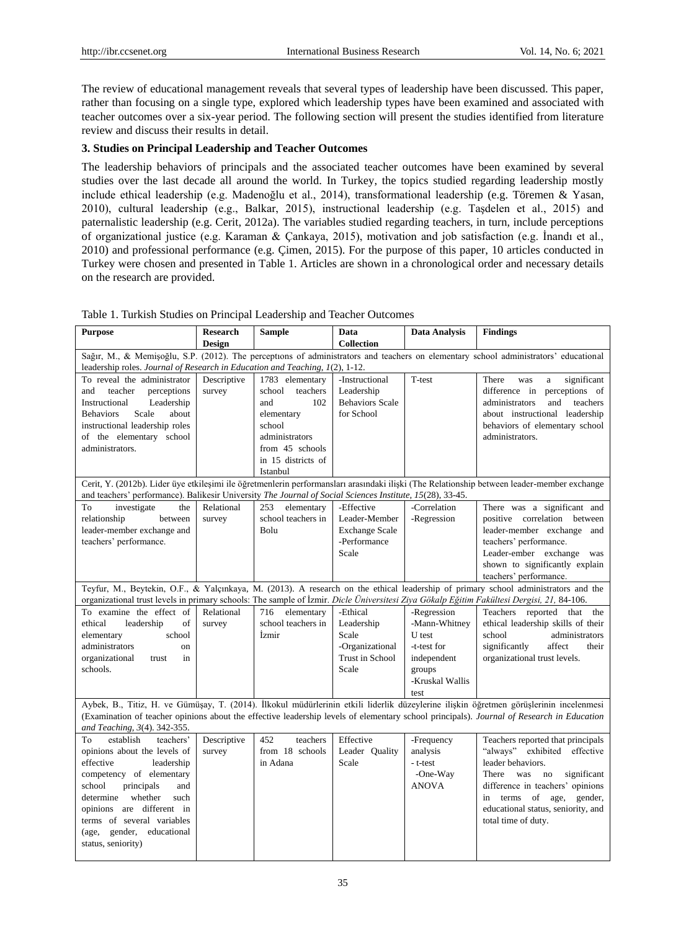The review of educational management reveals that several types of leadership have been discussed. This paper, rather than focusing on a single type, explored which leadership types have been examined and associated with teacher outcomes over a six-year period. The following section will present the studies identified from literature review and discuss their results in detail.

## **3. Studies on Principal Leadership and Teacher Outcomes**

The leadership behaviors of principals and the associated teacher outcomes have been examined by several studies over the last decade all around the world. In Turkey, the topics studied regarding leadership mostly include ethical leadership (e.g. Madenoğlu et al., 2014), transformational leadership (e.g. Töremen & Yasan, 2010), cultural leadership (e.g., Balkar, 2015), instructional leadership (e.g. Taşdelen et al., 2015) and paternalistic leadership (e.g. Cerit, 2012a). The variables studied regarding teachers, in turn, include perceptions of organizational justice (e.g. Karaman & Çankaya, 2015), motivation and job satisfaction (e.g. İnandı et al., 2010) and professional performance (e.g. Çimen, 2015). For the purpose of this paper, 10 articles conducted in Turkey were chosen and presented in Table 1. Articles are shown in a chronological order and necessary details on the research are provided.

| <b>Purpose</b>                                                                                                                            | <b>Research</b> | <b>Sample</b>      | Data                   | <b>Data Analysis</b> | <b>Findings</b>                                                                                                                             |  |
|-------------------------------------------------------------------------------------------------------------------------------------------|-----------------|--------------------|------------------------|----------------------|---------------------------------------------------------------------------------------------------------------------------------------------|--|
|                                                                                                                                           | <b>Design</b>   |                    | <b>Collection</b>      |                      |                                                                                                                                             |  |
| Sağır, M., & Memişoğlu, S.P. (2012). The perceptions of administrators and teachers on elementary school administrators' educational      |                 |                    |                        |                      |                                                                                                                                             |  |
| leadership roles. Journal of Research in Education and Teaching, 1(2), 1-12.                                                              |                 |                    |                        |                      |                                                                                                                                             |  |
| To reveal the administrator                                                                                                               | Descriptive     | 1783 elementary    | -Instructional         | T-test               | significant<br>There<br>was<br>a                                                                                                            |  |
| and<br>teacher<br>perceptions                                                                                                             | survey          | school<br>teachers | Leadership             |                      | difference in<br>perceptions of                                                                                                             |  |
| Instructional<br>Leadership                                                                                                               |                 | 102<br>and         | <b>Behaviors Scale</b> |                      | and<br>administrators<br>teachers                                                                                                           |  |
| Scale<br>about<br><b>Behaviors</b>                                                                                                        |                 | elementary         | for School             |                      | about instructional leadership                                                                                                              |  |
| instructional leadership roles                                                                                                            |                 | school             |                        |                      | behaviors of elementary school                                                                                                              |  |
| of the elementary school                                                                                                                  |                 | administrators     |                        |                      | administrators.                                                                                                                             |  |
| administrators.                                                                                                                           |                 | from 45 schools    |                        |                      |                                                                                                                                             |  |
|                                                                                                                                           |                 | in 15 districts of |                        |                      |                                                                                                                                             |  |
|                                                                                                                                           |                 | Istanbul           |                        |                      |                                                                                                                                             |  |
|                                                                                                                                           |                 |                    |                        |                      | Cerit, Y. (2012b). Lider üye etkileşimi ile öğretmenlerin performansları arasındaki ilişki (The Relationship between leader-member exchange |  |
| and teachers' performance). Balikesir University The Journal of Social Sciences Institute, 15(28), 33-45.                                 |                 |                    |                        |                      |                                                                                                                                             |  |
| To<br>investigate<br>the                                                                                                                  | Relational      | 253<br>elementary  | -Effective             | -Correlation         | There was a significant and                                                                                                                 |  |
| relationship<br>between                                                                                                                   | survey          | school teachers in | Leader-Member          | -Regression          | positive correlation between                                                                                                                |  |
| leader-member exchange and                                                                                                                |                 | Bolu               | <b>Exchange Scale</b>  |                      | leader-member exchange and                                                                                                                  |  |
| teachers' performance.                                                                                                                    |                 |                    | -Performance           |                      | teachers' performance.                                                                                                                      |  |
|                                                                                                                                           |                 |                    | Scale                  |                      | Leader-ember exchange was                                                                                                                   |  |
|                                                                                                                                           |                 |                    |                        |                      | shown to significantly explain                                                                                                              |  |
|                                                                                                                                           |                 |                    |                        |                      | teachers' performance.                                                                                                                      |  |
|                                                                                                                                           |                 |                    |                        |                      | Teyfur, M., Beytekin, O.F., & Yalçınkaya, M. (2013). A research on the ethical leadership of primary school administrators and the          |  |
| organizational trust levels in primary schools: The sample of İzmir. Dicle Üniversitesi Ziya Gökalp Eğitim Fakültesi Dergisi, 21, 84-106. |                 |                    |                        |                      |                                                                                                                                             |  |
| To examine the effect of                                                                                                                  | Relational      | 716<br>elementary  | -Ethical               | -Regression          | Teachers reported that<br>the                                                                                                               |  |
| ethical<br>of<br>leadership                                                                                                               | survey          | school teachers in | Leadership             | -Mann-Whitney        | ethical leadership skills of their                                                                                                          |  |
| school<br>elementary                                                                                                                      |                 | İzmir              | Scale                  | U test               | school<br>administrators                                                                                                                    |  |
| administrators<br>on                                                                                                                      |                 |                    | -Organizational        | -t-test for          | affect<br>significantly<br>their                                                                                                            |  |
| organizational<br>in<br>trust                                                                                                             |                 |                    | <b>Trust in School</b> | independent          | organizational trust levels.                                                                                                                |  |
| schools.                                                                                                                                  |                 |                    | Scale                  | groups               |                                                                                                                                             |  |
|                                                                                                                                           |                 |                    |                        | -Kruskal Wallis      |                                                                                                                                             |  |
|                                                                                                                                           |                 |                    |                        | test                 |                                                                                                                                             |  |
|                                                                                                                                           |                 |                    |                        |                      | Aybek, B., Titiz, H. ve Gümüşay, T. (2014). İlkokul müdürlerinin etkili liderlik düzeylerine ilişkin öğretmen görüşlerinin incelenmesi      |  |
|                                                                                                                                           |                 |                    |                        |                      | (Examination of teacher opinions about the effective leadership levels of elementary school principals). Journal of Research in Education   |  |
| and Teaching, 3(4). 342-355.                                                                                                              |                 |                    |                        |                      |                                                                                                                                             |  |
| establish<br>teachers'<br>To                                                                                                              | Descriptive     | 452<br>teachers    | Effective              | -Frequency           | Teachers reported that principals                                                                                                           |  |
| opinions about the levels of                                                                                                              | survey          | from 18 schools    | Leader Ouality         | analysis             | "always" exhibited effective                                                                                                                |  |
| effective<br>leadership                                                                                                                   |                 | in Adana           | Scale                  | - t-test             | leader behaviors.                                                                                                                           |  |
| competency of elementary                                                                                                                  |                 |                    |                        | -One-Way             | There<br>was<br>no<br>significant                                                                                                           |  |
| school<br>principals<br>and                                                                                                               |                 |                    |                        | <b>ANOVA</b>         | difference in teachers' opinions                                                                                                            |  |
| determine whether<br>such                                                                                                                 |                 |                    |                        |                      | in terms of age,<br>gender,                                                                                                                 |  |
| opinions are different in                                                                                                                 |                 |                    |                        |                      | educational status, seniority, and                                                                                                          |  |
| terms of several variables                                                                                                                |                 |                    |                        |                      | total time of duty.                                                                                                                         |  |
| (age, gender,<br>educational                                                                                                              |                 |                    |                        |                      |                                                                                                                                             |  |
| status, seniority)                                                                                                                        |                 |                    |                        |                      |                                                                                                                                             |  |
|                                                                                                                                           |                 |                    |                        |                      |                                                                                                                                             |  |

Table 1. Turkish Studies on Principal Leadership and Teacher Outcomes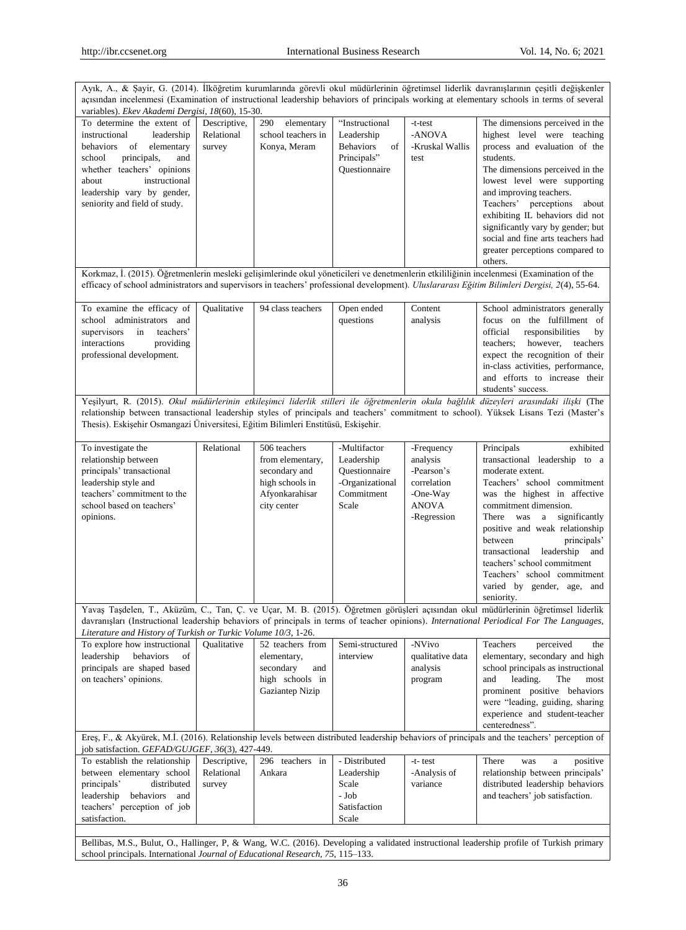| Ayık, A., & Şayir, G. (2014). İlköğretim kurumlarında görevli okul müdürlerinin öğretimsel liderlik davranışlarının çeşitli değişkenler<br>açısından incelenmesi (Examination of instructional leadership behaviors of principals working at elementary schools in terms of several<br>variables). Ekev Akademi Dergisi, 18(60), 15-30. |                                      |                                                                                                       |                                                                                        |                                                                                                |                                                                                                                                                                                                                                                                                                                                                                                                                                |  |
|-----------------------------------------------------------------------------------------------------------------------------------------------------------------------------------------------------------------------------------------------------------------------------------------------------------------------------------------|--------------------------------------|-------------------------------------------------------------------------------------------------------|----------------------------------------------------------------------------------------|------------------------------------------------------------------------------------------------|--------------------------------------------------------------------------------------------------------------------------------------------------------------------------------------------------------------------------------------------------------------------------------------------------------------------------------------------------------------------------------------------------------------------------------|--|
| To determine the extent of<br>instructional<br>leadership<br>behaviors<br>of<br>elementary<br>principals,<br>school<br>and<br>whether teachers' opinions<br>instructional<br>about<br>leadership vary by gender,<br>seniority and field of study.                                                                                       | Descriptive,<br>Relational<br>survey | 290<br>elementary<br>school teachers in<br>Konya, Meram                                               | "Instructional<br>Leadership<br><b>Behaviors</b><br>of<br>Principals"<br>Questionnaire | -t-test<br>-ANOVA<br>-Kruskal Wallis<br>test                                                   | The dimensions perceived in the<br>highest level were teaching<br>process and evaluation of the<br>students.<br>The dimensions perceived in the<br>lowest level were supporting<br>and improving teachers.<br>Teachers' perceptions about<br>exhibiting IL behaviors did not<br>significantly vary by gender; but<br>social and fine arts teachers had<br>greater perceptions compared to<br>others.                           |  |
|                                                                                                                                                                                                                                                                                                                                         |                                      |                                                                                                       |                                                                                        |                                                                                                | Korkmaz, İ. (2015). Öğretmenlerin mesleki gelişimlerinde okul yöneticileri ve denetmenlerin etkililiğinin incelenmesi (Examination of the<br>efficacy of school administrators and supervisors in teachers' professional development). Uluslararası Eğitim Bilimleri Dergisi, 2(4), 55-64.                                                                                                                                     |  |
| To examine the efficacy of<br>school administrators and<br>teachers'<br>supervisors<br>in<br>interactions<br>providing<br>professional development.                                                                                                                                                                                     | Qualitative                          | 94 class teachers                                                                                     | Open ended<br>questions                                                                | Content<br>analysis                                                                            | School administrators generally<br>focus on the fulfillment of<br>official<br>responsibilities<br>by<br>teachers:<br>however,<br>teachers<br>expect the recognition of their<br>in-class activities, performance,<br>and efforts to increase their<br>students' success.                                                                                                                                                       |  |
| Thesis). Eskişehir Osmangazi Üniversitesi, Eğitim Bilimleri Enstitüsü, Eskişehir.                                                                                                                                                                                                                                                       |                                      |                                                                                                       |                                                                                        |                                                                                                | Yeşilyurt, R. (2015). Okul müdürlerinin etkileşimci liderlik stilleri ile öğretmenlerin okula bağlılık düzeyleri arasındaki ilişki (The<br>relationship between transactional leadership styles of principals and teachers' commitment to school). Yüksek Lisans Tezi (Master's                                                                                                                                                |  |
| To investigate the<br>relationship between<br>principals' transactional<br>leadership style and<br>teachers' commitment to the<br>school based on teachers'<br>opinions.                                                                                                                                                                | Relational                           | 506 teachers<br>from elementary,<br>secondary and<br>high schools in<br>Afyonkarahisar<br>city center | -Multifactor<br>Leadership<br>Questionnaire<br>-Organizational<br>Commitment<br>Scale  | -Frequency<br>analysis<br>-Pearson's<br>correlation<br>-One-Way<br><b>ANOVA</b><br>-Regression | exhibited<br>Principals<br>transactional leadership to a<br>moderate extent.<br>Teachers' school commitment<br>was the highest in affective<br>commitment dimension.<br>significantly<br>There was<br>$\mathbf{a}$<br>positive and weak relationship<br>between<br>principals'<br>leadership<br>transactional<br>and<br>teachers' school commitment<br>Teachers' school commitment<br>varied by gender, age, and<br>seniority. |  |
| Literature and History of Turkish or Turkic Volume 10/3, 1-26.                                                                                                                                                                                                                                                                          |                                      |                                                                                                       |                                                                                        |                                                                                                | Yavaş Taşdelen, T., Aküzüm, C., Tan, Ç. ve Uçar, M. B. (2015). Öğretmen görüşleri açısından okul müdürlerinin öğretimsel liderlik<br>davranışları (Instructional leadership behaviors of principals in terms of teacher opinions). International Periodical For The Languages,                                                                                                                                                 |  |
| To explore how instructional<br>leadership<br>behaviors<br>of<br>principals are shaped based<br>on teachers' opinions.                                                                                                                                                                                                                  | Qualitative                          | 52 teachers from<br>elementary,<br>secondary<br>and<br>high schools in<br>Gaziantep Nizip             | Semi-structured<br>interview                                                           | -NVivo<br>qualitative data<br>analysis<br>program                                              | Teachers<br>perceived<br>the<br>elementary, secondary and high<br>school principals as instructional<br>and<br>leading.<br>The<br>most<br>prominent positive behaviors<br>were "leading, guiding, sharing<br>experience and student-teacher<br>centeredness".                                                                                                                                                                  |  |
| job satisfaction. GEFAD/GUJGEF, 36(3), 427-449.                                                                                                                                                                                                                                                                                         |                                      |                                                                                                       |                                                                                        |                                                                                                | Ereş, F., & Akyürek, M.İ. (2016). Relationship levels between distributed leadership behaviors of principals and the teachers' perception of                                                                                                                                                                                                                                                                                   |  |
| To establish the relationship<br>between elementary school<br>principals'<br>distributed<br>leadership<br>behaviors<br>and<br>teachers' perception of job<br>satisfaction.                                                                                                                                                              | Descriptive,<br>Relational<br>survey | 296 teachers in<br>Ankara                                                                             | - Distributed<br>Leadership<br>Scale<br>- Job<br>Satisfaction<br>Scale                 | -t-test<br>-Analysis of<br>variance                                                            | positive<br>There<br>was<br>a<br>relationship between principals'<br>distributed leadership behaviors<br>and teachers' job satisfaction.                                                                                                                                                                                                                                                                                       |  |

Bellibas, M.S., Bulut, O., Hallinger, P, & Wang, W.C. (2016). Developing a validated instructional leadership profile of Turkish primary school principals. International *Journal of Educational Research, 75,* 115–133.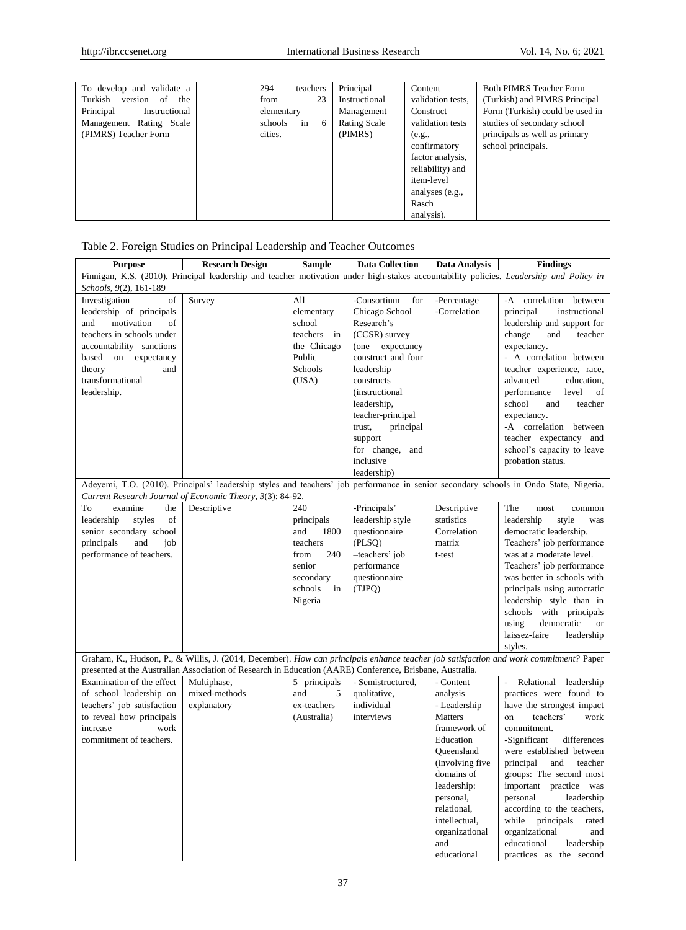| To develop and validate a       | 294<br>teachers    | Principal     | Content           | <b>Both PIMRS Teacher Form</b>  |
|---------------------------------|--------------------|---------------|-------------------|---------------------------------|
| Turkish<br>version<br>the<br>of | 23<br>from         | Instructional | validation tests, | (Turkish) and PIMRS Principal   |
| Principal<br>Instructional      | elementary         | Management    | Construct         | Form (Turkish) could be used in |
| Management Rating Scale         | schools<br>in<br>6 | Rating Scale  | validation tests  | studies of secondary school     |
| (PIMRS) Teacher Form            | cities.            | (PIMRS)       | (e.g.,            | principals as well as primary   |
|                                 |                    |               | confirmatory      | school principals.              |
|                                 |                    |               | factor analysis.  |                                 |
|                                 |                    |               | reliability) and  |                                 |
|                                 |                    |               | item-level        |                                 |
|                                 |                    |               | analyses (e.g.,   |                                 |
|                                 |                    |               | Rasch             |                                 |
|                                 |                    |               | analysis).        |                                 |

| Table 2. Foreign Studies on Principal Leadership and Teacher Outcomes |  |  |  |
|-----------------------------------------------------------------------|--|--|--|
|                                                                       |  |  |  |

| <b>Purpose</b>             | <b>Research Design</b>                                                                                                                 | <b>Sample</b> | <b>Data Collection</b> | Data Analysis   | <b>Findings</b>                                                                                                                       |  |  |  |
|----------------------------|----------------------------------------------------------------------------------------------------------------------------------------|---------------|------------------------|-----------------|---------------------------------------------------------------------------------------------------------------------------------------|--|--|--|
|                            | Finnigan, K.S. (2010). Principal leadership and teacher motivation under high-stakes accountability policies. Leadership and Policy in |               |                        |                 |                                                                                                                                       |  |  |  |
| Schools, 9(2), 161-189     |                                                                                                                                        |               |                        |                 |                                                                                                                                       |  |  |  |
| Investigation<br>of        | Survey                                                                                                                                 | All           | -Consortium<br>for     | -Percentage     | -A correlation between                                                                                                                |  |  |  |
| leadership of principals   |                                                                                                                                        | elementary    | Chicago School         | -Correlation    | principal<br>instructional                                                                                                            |  |  |  |
| of<br>motivation<br>and    |                                                                                                                                        | school        | Research's             |                 | leadership and support for                                                                                                            |  |  |  |
| teachers in schools under  |                                                                                                                                        | teachers in   | (CCSR) survey          |                 | change<br>and<br>teacher                                                                                                              |  |  |  |
| accountability sanctions   |                                                                                                                                        | the Chicago   | (one expectancy        |                 | expectancy.                                                                                                                           |  |  |  |
| based<br>on expectancy     |                                                                                                                                        | Public        | construct and four     |                 | - A correlation between                                                                                                               |  |  |  |
| theory<br>and              |                                                                                                                                        | Schools       | leadership             |                 | teacher experience, race,                                                                                                             |  |  |  |
| transformational           |                                                                                                                                        | (USA)         | constructs             |                 | advanced<br>education,                                                                                                                |  |  |  |
| leadership.                |                                                                                                                                        |               | <i>(instructional)</i> |                 | performance<br>level<br>of                                                                                                            |  |  |  |
|                            |                                                                                                                                        |               | leadership,            |                 | school<br>teacher<br>and                                                                                                              |  |  |  |
|                            |                                                                                                                                        |               | teacher-principal      |                 | expectancy.                                                                                                                           |  |  |  |
|                            |                                                                                                                                        |               | principal<br>trust,    |                 | -A correlation between                                                                                                                |  |  |  |
|                            |                                                                                                                                        |               | support                |                 | teacher expectancy and                                                                                                                |  |  |  |
|                            |                                                                                                                                        |               | for change, and        |                 | school's capacity to leave                                                                                                            |  |  |  |
|                            |                                                                                                                                        |               | inclusive              |                 | probation status.                                                                                                                     |  |  |  |
|                            |                                                                                                                                        |               | leadership)            |                 |                                                                                                                                       |  |  |  |
|                            |                                                                                                                                        |               |                        |                 | Adeyemi, T.O. (2010). Principals' leadership styles and teachers' job performance in senior secondary schools in Ondo State, Nigeria. |  |  |  |
|                            | Current Research Journal of Economic Theory, 3(3): 84-92.                                                                              |               |                        |                 |                                                                                                                                       |  |  |  |
| To<br>examine<br>the       | Descriptive                                                                                                                            | 240           | -Principals'           | Descriptive     | The<br>most<br>common                                                                                                                 |  |  |  |
| of<br>leadership<br>styles |                                                                                                                                        | principals    | leadership style       | statistics      | leadership<br>style<br>was                                                                                                            |  |  |  |
| senior secondary school    |                                                                                                                                        | and<br>1800   | questionnaire          | Correlation     | democratic leadership.                                                                                                                |  |  |  |
| principals<br>and<br>job   |                                                                                                                                        | teachers      | (PLSQ)                 | matrix          | Teachers' job performance                                                                                                             |  |  |  |
| performance of teachers.   |                                                                                                                                        | 240<br>from   | -teachers' job         | t-test          | was at a moderate level.                                                                                                              |  |  |  |
|                            |                                                                                                                                        | senior        | performance            |                 | Teachers' job performance                                                                                                             |  |  |  |
|                            |                                                                                                                                        | secondary     | questionnaire          |                 | was better in schools with                                                                                                            |  |  |  |
|                            |                                                                                                                                        | schools<br>in | (TJPQ)                 |                 | principals using autocratic                                                                                                           |  |  |  |
|                            |                                                                                                                                        | Nigeria       |                        |                 | leadership style than in                                                                                                              |  |  |  |
|                            |                                                                                                                                        |               |                        |                 | schools with principals                                                                                                               |  |  |  |
|                            |                                                                                                                                        |               |                        |                 | using<br>democratic<br><b>or</b>                                                                                                      |  |  |  |
|                            |                                                                                                                                        |               |                        |                 | laissez-faire<br>leadership                                                                                                           |  |  |  |
|                            |                                                                                                                                        |               |                        |                 | styles.                                                                                                                               |  |  |  |
|                            |                                                                                                                                        |               |                        |                 | Graham, K., Hudson, P., & Willis, J. (2014, December). How can principals enhance teacher job satisfaction and work commitment? Paper |  |  |  |
|                            | presented at the Australian Association of Research in Education (AARE) Conference, Brisbane, Australia.                               |               |                        |                 |                                                                                                                                       |  |  |  |
| Examination of the effect  | Multiphase,                                                                                                                            | 5 principals  | - Semistructured,      | - Content       | Relational leadership<br>$\mathcal{L}^{\pm}$                                                                                          |  |  |  |
| of school leadership on    | mixed-methods                                                                                                                          | and<br>5      | qualitative,           | analysis        | practices were found to                                                                                                               |  |  |  |
| teachers' job satisfaction | explanatory                                                                                                                            | ex-teachers   | individual             | - Leadership    | have the strongest impact                                                                                                             |  |  |  |
| to reveal how principals   |                                                                                                                                        | (Australia)   | interviews             | <b>Matters</b>  | teachers'<br>on<br>work                                                                                                               |  |  |  |
| increase<br>work           |                                                                                                                                        |               |                        | framework of    | commitment.                                                                                                                           |  |  |  |
| commitment of teachers.    |                                                                                                                                        |               |                        | Education       | -Significant<br>differences                                                                                                           |  |  |  |
|                            |                                                                                                                                        |               |                        | Queensland      | were established between                                                                                                              |  |  |  |
|                            |                                                                                                                                        |               |                        | (involving five | principal<br>and<br>teacher                                                                                                           |  |  |  |
|                            |                                                                                                                                        |               |                        | domains of      | groups: The second most                                                                                                               |  |  |  |
|                            |                                                                                                                                        |               |                        | leadership:     | important practice was                                                                                                                |  |  |  |
|                            |                                                                                                                                        |               |                        | personal,       | personal<br>leadership                                                                                                                |  |  |  |
|                            |                                                                                                                                        |               |                        | relational,     | according to the teachers,                                                                                                            |  |  |  |
|                            |                                                                                                                                        |               |                        | intellectual,   | while principals<br>rated                                                                                                             |  |  |  |
|                            |                                                                                                                                        |               |                        | organizational  | organizational<br>and                                                                                                                 |  |  |  |
|                            |                                                                                                                                        |               |                        | and             | educational<br>leadership                                                                                                             |  |  |  |
|                            |                                                                                                                                        |               |                        | educational     | practices as the second                                                                                                               |  |  |  |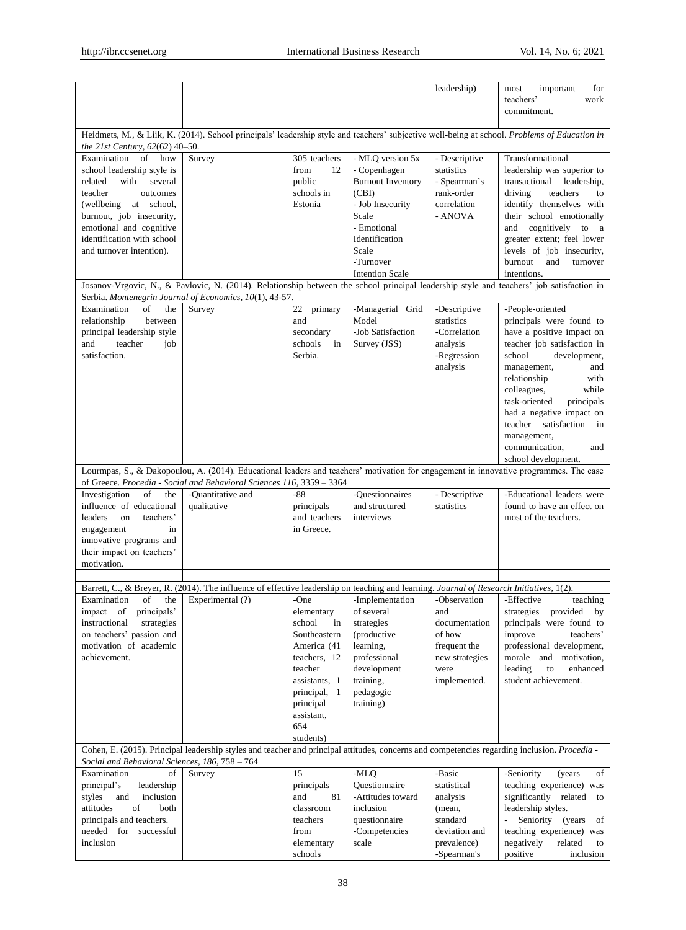|                                                                                                                                                                                                                                                        |                                                                                                                                              |                                                                                                                                                                              |                                                                                                                                                           | leadership)                                                                                              | important<br>most<br>for<br>teachers'<br>work<br>commitment.                                                                                                                                                                                                                                                                                                     |  |  |
|--------------------------------------------------------------------------------------------------------------------------------------------------------------------------------------------------------------------------------------------------------|----------------------------------------------------------------------------------------------------------------------------------------------|------------------------------------------------------------------------------------------------------------------------------------------------------------------------------|-----------------------------------------------------------------------------------------------------------------------------------------------------------|----------------------------------------------------------------------------------------------------------|------------------------------------------------------------------------------------------------------------------------------------------------------------------------------------------------------------------------------------------------------------------------------------------------------------------------------------------------------------------|--|--|
| Heidmets, M., & Liik, K. (2014). School principals' leadership style and teachers' subjective well-being at school. Problems of Education in<br>the 21st Century, 62(62) 40-50.                                                                        |                                                                                                                                              |                                                                                                                                                                              |                                                                                                                                                           |                                                                                                          |                                                                                                                                                                                                                                                                                                                                                                  |  |  |
| Examination<br>of how<br>school leadership style is<br>related<br>with<br>several<br>teacher<br>outcomes<br>(wellbeing)<br>at school,<br>burnout, job insecurity,<br>emotional and cognitive<br>identification with school<br>and turnover intention). | Survey                                                                                                                                       | 305 teachers<br>from<br>12<br>public<br>schools in<br>Estonia                                                                                                                | - MLQ version 5x<br>- Copenhagen<br><b>Burnout Inventory</b><br>(CBI)<br>- Job Insecurity<br>Scale<br>- Emotional<br>Identification<br>Scale<br>-Turnover | - Descriptive<br>statistics<br>- Spearman's<br>rank-order<br>correlation<br>- ANOVA                      | Transformational<br>leadership was superior to<br>transactional<br>leadership,<br>driving<br>teachers<br>to<br>identify themselves with<br>their school emotionally<br>cognitively<br>and<br>to a<br>greater extent; feel lower<br>levels of job insecurity,<br>burnout<br>and<br>turnover                                                                       |  |  |
|                                                                                                                                                                                                                                                        |                                                                                                                                              |                                                                                                                                                                              | <b>Intention Scale</b>                                                                                                                                    |                                                                                                          | intentions.<br>Josanov-Vrgovic, N., & Pavlovic, N. (2014). Relationship between the school principal leadership style and teachers' job satisfaction in                                                                                                                                                                                                          |  |  |
| Examination<br>of<br>the<br>relationship<br>between<br>principal leadership style<br>teacher<br>and<br>job<br>satisfaction.                                                                                                                            | Serbia. Montenegrin Journal of Economics, 10(1), 43-57.<br>Survey                                                                            | 22 primary<br>and<br>secondary<br>schools<br>in<br>Serbia.                                                                                                                   | -Managerial Grid<br>Model<br>-Job Satisfaction<br>Survey (JSS)                                                                                            | -Descriptive<br>statistics<br>-Correlation<br>analysis<br>-Regression<br>analysis                        | -People-oriented<br>principals were found to<br>have a positive impact on<br>teacher job satisfaction in<br>school<br>development,<br>management,<br>and<br>relationship<br>with<br>colleagues,<br>while<br>task-oriented<br>principals<br>had a negative impact on<br>teacher satisfaction<br>in<br>management,<br>communication,<br>and<br>school development. |  |  |
|                                                                                                                                                                                                                                                        | of Greece. Procedia - Social and Behavioral Sciences 116, 3359 - 3364                                                                        |                                                                                                                                                                              |                                                                                                                                                           |                                                                                                          | Lourmpas, S., & Dakopoulou, A. (2014). Educational leaders and teachers' motivation for engagement in innovative programmes. The case                                                                                                                                                                                                                            |  |  |
| Investigation<br>of<br>the<br>influence of educational<br>teachers'<br>leaders<br>on<br>in<br>engagement<br>innovative programs and<br>their impact on teachers'<br>motivation.                                                                        | -Quantitative and<br>qualitative                                                                                                             | $-88$<br>principals<br>and teachers<br>in Greece.                                                                                                                            | -Ouestionnaires<br>and structured<br>interviews                                                                                                           | - Descriptive<br>statistics                                                                              | -Educational leaders were<br>found to have an effect on<br>most of the teachers.                                                                                                                                                                                                                                                                                 |  |  |
|                                                                                                                                                                                                                                                        | Barrett, C., & Breyer, R. (2014). The influence of effective leadership on teaching and learning. Journal of Research Initiatives, 1(2).     |                                                                                                                                                                              |                                                                                                                                                           |                                                                                                          |                                                                                                                                                                                                                                                                                                                                                                  |  |  |
| Examination<br>of<br>the<br>impact of<br>principals'<br>strategies<br>instructional<br>on teachers' passion and<br>motivation of academic<br>achievement.                                                                                              | Experimental (?)                                                                                                                             | -One<br>elementary<br>school<br>in<br>Southeastern<br>America (41<br>teachers, 12<br>teacher<br>assistants, 1<br>principal, 1<br>principal<br>assistant,<br>654<br>students) | -Implementation<br>of several<br>strategies<br>(productive<br>learning,<br>professional<br>development<br>training,<br>pedagogic<br>training)             | -Observation<br>and<br>documentation<br>of how<br>frequent the<br>new strategies<br>were<br>implemented. | -Effective<br>teaching<br>provided by<br>strategies<br>principals were found to<br>improve<br>teachers'<br>professional development,<br>morale and motivation,<br>leading<br>to<br>enhanced<br>student achievement.                                                                                                                                              |  |  |
|                                                                                                                                                                                                                                                        | Cohen, E. (2015). Principal leadership styles and teacher and principal attitudes, concerns and competencies regarding inclusion. Procedia - |                                                                                                                                                                              |                                                                                                                                                           |                                                                                                          |                                                                                                                                                                                                                                                                                                                                                                  |  |  |
| Social and Behavioral Sciences, 186, 758 - 764<br>Examination<br>of<br>principal's<br>leadership<br>styles<br>and<br>inclusion<br>of<br>attitudes<br>both<br>principals and teachers.<br>needed for successful<br>inclusion                            | Survey                                                                                                                                       | 15<br>principals<br>and<br>81<br>classroom<br>teachers<br>from<br>elementary<br>schools                                                                                      | -MLQ<br>Questionnaire<br>-Attitudes toward<br>inclusion<br>questionnaire<br>-Competencies<br>scale                                                        | -Basic<br>statistical<br>analysis<br>(mean,<br>standard<br>deviation and<br>prevalence)<br>-Spearman's   | -Seniority<br>of<br>(years)<br>teaching experience) was<br>significantly related<br>to<br>leadership styles.<br>Seniority (years<br>of<br>teaching experience) was<br>negatively<br>related<br>to<br>positive<br>inclusion                                                                                                                                       |  |  |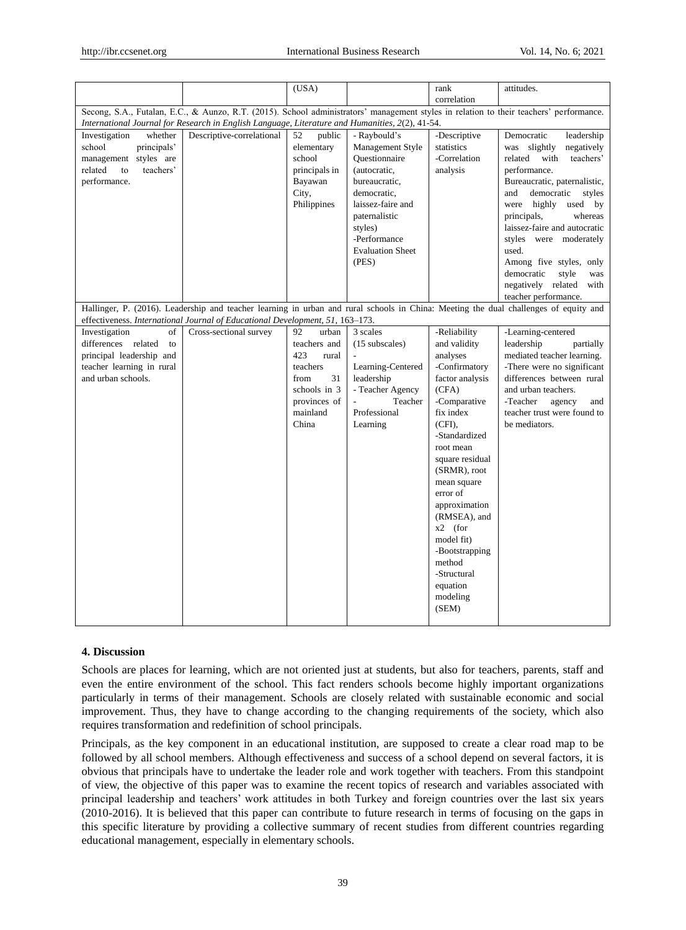|                                                                                                                                                                                                                                            |                                                                               | (USA)                                                                                                                      |                                                                                                                                                                                                        | rank                                                                                                                                                                                                                                                                                                                                                                | attitudes.                                                                                                                                                                                                                                                                                                                                                                                                  |  |
|--------------------------------------------------------------------------------------------------------------------------------------------------------------------------------------------------------------------------------------------|-------------------------------------------------------------------------------|----------------------------------------------------------------------------------------------------------------------------|--------------------------------------------------------------------------------------------------------------------------------------------------------------------------------------------------------|---------------------------------------------------------------------------------------------------------------------------------------------------------------------------------------------------------------------------------------------------------------------------------------------------------------------------------------------------------------------|-------------------------------------------------------------------------------------------------------------------------------------------------------------------------------------------------------------------------------------------------------------------------------------------------------------------------------------------------------------------------------------------------------------|--|
|                                                                                                                                                                                                                                            |                                                                               |                                                                                                                            |                                                                                                                                                                                                        | correlation                                                                                                                                                                                                                                                                                                                                                         |                                                                                                                                                                                                                                                                                                                                                                                                             |  |
| Secong, S.A., Futalan, E.C., & Aunzo, R.T. (2015). School administrators' management styles in relation to their teachers' performance.<br>International Journal for Research in English Language, Literature and Humanities, 2(2), 41-54. |                                                                               |                                                                                                                            |                                                                                                                                                                                                        |                                                                                                                                                                                                                                                                                                                                                                     |                                                                                                                                                                                                                                                                                                                                                                                                             |  |
| Investigation<br>whether<br>school<br>principals'<br>management styles are<br>teachers'<br>related<br>to<br>performance.                                                                                                                   | Descriptive-correlational                                                     | public<br>52<br>elementary<br>school<br>principals in<br>Bayawan<br>City,<br>Philippines                                   | - Raybould's<br>Management Style<br>Ouestionnaire<br>(autocratic,<br>bureaucratic,<br>democratic,<br>laissez-faire and<br>paternalistic<br>styles)<br>-Performance<br><b>Evaluation Sheet</b><br>(PES) | -Descriptive<br>statistics<br>-Correlation<br>analysis                                                                                                                                                                                                                                                                                                              | Democratic<br>leadership<br>was slightly<br>negatively<br>related<br>with<br>teachers'<br>performance.<br>Bureaucratic, paternalistic,<br>democratic<br>and<br>styles<br>were highly<br>used by<br>principals,<br>whereas<br>laissez-faire and autocratic<br>styles were moderately<br>used.<br>Among five styles, only<br>democratic<br>style<br>was<br>negatively related<br>with<br>teacher performance. |  |
|                                                                                                                                                                                                                                            | effectiveness. International Journal of Educational Development, 51, 163-173. |                                                                                                                            |                                                                                                                                                                                                        |                                                                                                                                                                                                                                                                                                                                                                     | Hallinger, P. (2016). Leadership and teacher learning in urban and rural schools in China: Meeting the dual challenges of equity and                                                                                                                                                                                                                                                                        |  |
| Investigation<br>οf<br>differences related<br>to<br>principal leadership and<br>teacher learning in rural<br>and urban schools.                                                                                                            | Cross-sectional survey                                                        | 92<br>urban<br>teachers and<br>423<br>rural<br>teachers<br>31<br>from<br>schools in 3<br>provinces of<br>mainland<br>China | 3 scales<br>(15 subscales)<br>Learning-Centered<br>leadership<br>- Teacher Agency<br>Teacher<br>Professional<br>Learning                                                                               | -Reliability<br>and validity<br>analyses<br>-Confirmatory<br>factor analysis<br>(CFA)<br>-Comparative<br>fix index<br>$(CFI)$ ,<br>-Standardized<br>root mean<br>square residual<br>(SRMR), root<br>mean square<br>error of<br>approximation<br>(RMSEA), and<br>$x2$ (for<br>model fit)<br>-Bootstrapping<br>method<br>-Structural<br>equation<br>modeling<br>(SEM) | -Learning-centered<br>leadership<br>partially<br>mediated teacher learning.<br>-There were no significant<br>differences between rural<br>and urban teachers.<br>-Teacher<br>agency<br>and<br>teacher trust were found to<br>be mediators.                                                                                                                                                                  |  |

## **4. Discussion**

Schools are places for learning, which are not oriented just at students, but also for teachers, parents, staff and even the entire environment of the school. This fact renders schools become highly important organizations particularly in terms of their management. Schools are closely related with sustainable economic and social improvement. Thus, they have to change according to the changing requirements of the society, which also requires transformation and redefinition of school principals.

Principals, as the key component in an educational institution, are supposed to create a clear road map to be followed by all school members. Although effectiveness and success of a school depend on several factors, it is obvious that principals have to undertake the leader role and work together with teachers. From this standpoint of view, the objective of this paper was to examine the recent topics of research and variables associated with principal leadership and teachers' work attitudes in both Turkey and foreign countries over the last six years (2010-2016). It is believed that this paper can contribute to future research in terms of focusing on the gaps in this specific literature by providing a collective summary of recent studies from different countries regarding educational management, especially in elementary schools.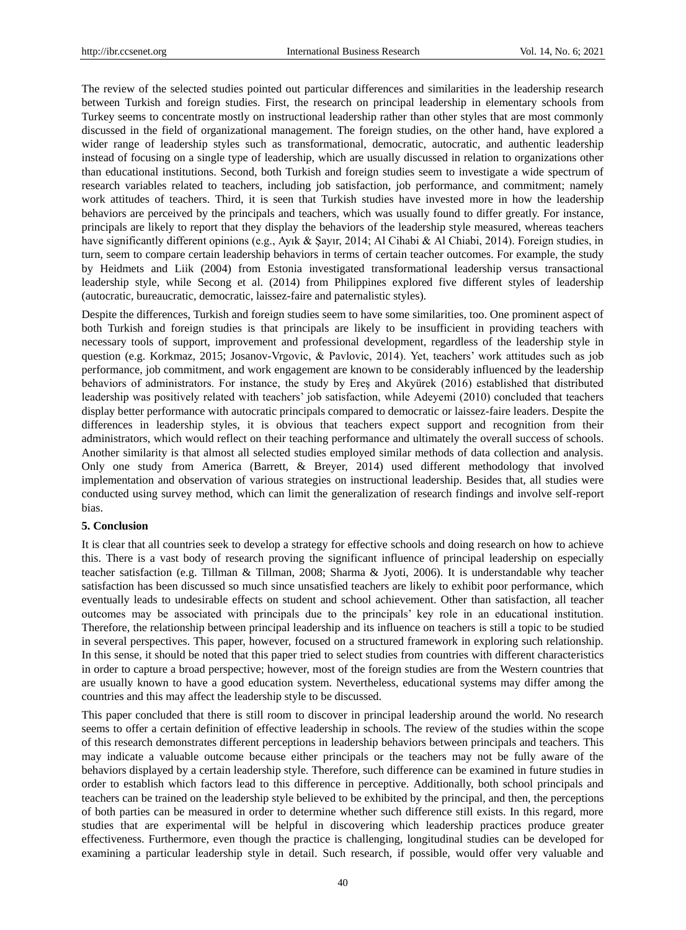The review of the selected studies pointed out particular differences and similarities in the leadership research between Turkish and foreign studies. First, the research on principal leadership in elementary schools from Turkey seems to concentrate mostly on instructional leadership rather than other styles that are most commonly discussed in the field of organizational management. The foreign studies, on the other hand, have explored a wider range of leadership styles such as transformational, democratic, autocratic, and authentic leadership instead of focusing on a single type of leadership, which are usually discussed in relation to organizations other than educational institutions. Second, both Turkish and foreign studies seem to investigate a wide spectrum of research variables related to teachers, including job satisfaction, job performance, and commitment; namely work attitudes of teachers. Third, it is seen that Turkish studies have invested more in how the leadership behaviors are perceived by the principals and teachers, which was usually found to differ greatly. For instance, principals are likely to report that they display the behaviors of the leadership style measured, whereas teachers have significantly different opinions (e.g., Ayık & Şayır, 2014; Al Cihabi & Al Chiabi, 2014). Foreign studies, in turn, seem to compare certain leadership behaviors in terms of certain teacher outcomes. For example, the study by Heidmets and Liik (2004) from Estonia investigated transformational leadership versus transactional leadership style, while Secong et al. (2014) from Philippines explored five different styles of leadership (autocratic, bureaucratic, democratic, laissez-faire and paternalistic styles).

Despite the differences, Turkish and foreign studies seem to have some similarities, too. One prominent aspect of both Turkish and foreign studies is that principals are likely to be insufficient in providing teachers with necessary tools of support, improvement and professional development, regardless of the leadership style in question (e.g. Korkmaz, 2015; Josanov-Vrgovic, & Pavlovic, 2014). Yet, teachers' work attitudes such as job performance, job commitment, and work engagement are known to be considerably influenced by the leadership behaviors of administrators. For instance, the study by Ereş and Akyürek (2016) established that distributed leadership was positively related with teachers' job satisfaction, while Adeyemi (2010) concluded that teachers display better performance with autocratic principals compared to democratic or laissez-faire leaders. Despite the differences in leadership styles, it is obvious that teachers expect support and recognition from their administrators, which would reflect on their teaching performance and ultimately the overall success of schools. Another similarity is that almost all selected studies employed similar methods of data collection and analysis. Only one study from America (Barrett, & Breyer, 2014) used different methodology that involved implementation and observation of various strategies on instructional leadership. Besides that, all studies were conducted using survey method, which can limit the generalization of research findings and involve self-report bias.

#### **5. Conclusion**

It is clear that all countries seek to develop a strategy for effective schools and doing research on how to achieve this. There is a vast body of research proving the significant influence of principal leadership on especially teacher satisfaction (e.g. Tillman & Tillman, 2008; Sharma & Jyoti, 2006). It is understandable why teacher satisfaction has been discussed so much since unsatisfied teachers are likely to exhibit poor performance, which eventually leads to undesirable effects on student and school achievement. Other than satisfaction, all teacher outcomes may be associated with principals due to the principals' key role in an educational institution. Therefore, the relationship between principal leadership and its influence on teachers is still a topic to be studied in several perspectives. This paper, however, focused on a structured framework in exploring such relationship. In this sense, it should be noted that this paper tried to select studies from countries with different characteristics in order to capture a broad perspective; however, most of the foreign studies are from the Western countries that are usually known to have a good education system. Nevertheless, educational systems may differ among the countries and this may affect the leadership style to be discussed.

This paper concluded that there is still room to discover in principal leadership around the world. No research seems to offer a certain definition of effective leadership in schools. The review of the studies within the scope of this research demonstrates different perceptions in leadership behaviors between principals and teachers. This may indicate a valuable outcome because either principals or the teachers may not be fully aware of the behaviors displayed by a certain leadership style. Therefore, such difference can be examined in future studies in order to establish which factors lead to this difference in perceptive. Additionally, both school principals and teachers can be trained on the leadership style believed to be exhibited by the principal, and then, the perceptions of both parties can be measured in order to determine whether such difference still exists. In this regard, more studies that are experimental will be helpful in discovering which leadership practices produce greater effectiveness. Furthermore, even though the practice is challenging, longitudinal studies can be developed for examining a particular leadership style in detail. Such research, if possible, would offer very valuable and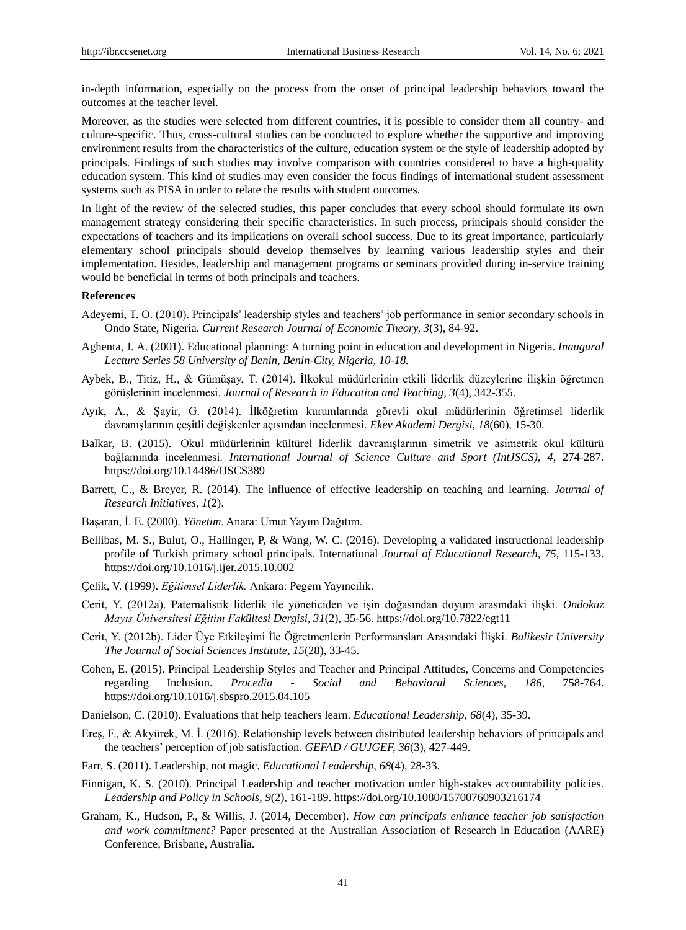in-depth information, especially on the process from the onset of principal leadership behaviors toward the outcomes at the teacher level.

Moreover, as the studies were selected from different countries, it is possible to consider them all country- and culture-specific. Thus, cross-cultural studies can be conducted to explore whether the supportive and improving environment results from the characteristics of the culture, education system or the style of leadership adopted by principals. Findings of such studies may involve comparison with countries considered to have a high-quality education system. This kind of studies may even consider the focus findings of international student assessment systems such as PISA in order to relate the results with student outcomes.

In light of the review of the selected studies, this paper concludes that every school should formulate its own management strategy considering their specific characteristics. In such process, principals should consider the expectations of teachers and its implications on overall school success. Due to its great importance, particularly elementary school principals should develop themselves by learning various leadership styles and their implementation. Besides, leadership and management programs or seminars provided during in-service training would be beneficial in terms of both principals and teachers.

#### **References**

- Adeyemi, T. O. (2010). Principals' leadership styles and teachers' job performance in senior secondary schools in Ondo State, Nigeria. *Current Research Journal of Economic Theory, 3*(3), 84-92.
- Aghenta, J. A. (2001). Educational planning: A turning point in education and development in Nigeria. *Inaugural Lecture Series 58 University of Benin, Benin-City, Nigeria, 10-18.*
- Aybek, B., Titiz, H., & Gümüşay, T. (2014). İlkokul müdürlerinin etkili liderlik düzeylerine ilişkin öğretmen görüşlerinin incelenmesi. *Journal of Research in Education and Teaching, 3*(4), 342-355.
- Ayık, A., & Şayir, G. (2014). İlköğretim kurumlarında görevli okul müdürlerinin öğretimsel liderlik davranışlarının çeşitli değişkenler açısından incelenmesi. *Ekev Akademi Dergisi, 18*(60), 15-30.
- Balkar, B. (2015). Okul müdürlerinin kültürel liderlik davranışlarının simetrik ve asimetrik okul kültürü bağlamında incelenmesi. *International Journal of Science Culture and Sport (IntJSCS), 4*, 274-287. https://doi.org/10.14486/IJSCS389
- Barrett, C., & Breyer, R. (2014). The influence of effective leadership on teaching and learning. *Journal of Research Initiatives, 1*(2).
- Başaran, İ. E. (2000). *Yönetim*. Anara: Umut Yayım Dağıtım.
- Bellibas, M. S., Bulut, O., Hallinger, P, & Wang, W. C. (2016). Developing a validated instructional leadership profile of Turkish primary school principals. International *Journal of Educational Research, 75,* 115-133. https://doi.org/10.1016/j.ijer.2015.10.002
- Çelik, V. (1999). *Eğitimsel Liderlik.* Ankara: Pegem Yayıncılık.
- Cerit, Y. (2012a). Paternalistik liderlik ile yöneticiden ve işin doğasından doyum arasındaki ilişki. *Ondokuz Mayıs Üniversitesi Eğitim Fakültesi Dergisi, 31*(2), 35-56. https://doi.org/10.7822/egt11
- Cerit, Y. (2012b). Lider Üye Etkileşimi İle Öğretmenlerin Performansları Arasındaki İlişki. *Balikesir University The Journal of Social Sciences Institute, 15*(28), 33-45.
- Cohen, E. (2015). Principal Leadership Styles and Teacher and Principal Attitudes, Concerns and Competencies regarding Inclusion. *Procedia - Social and Behavioral Sciences, 186*, 758-764. https://doi.org/10.1016/j.sbspro.2015.04.105
- Danielson, C. (2010). Evaluations that help teachers learn. *Educational Leadership, 68*(4), 35-39.
- Ereş, F., & Akyürek, M. İ. (2016). Relationship levels between distributed leadership behaviors of principals and the teachers' perception of job satisfaction. *GEFAD / GUJGEF, 36*(3), 427-449.
- Farr, S. (2011). Leadership, not magic. *Educational Leadership, 68*(4), 28-33.
- Finnigan, K. S. (2010). Principal Leadership and teacher motivation under high-stakes accountability policies. *Leadership and Policy in Schools, 9*(2), 161-189.<https://doi.org/10.1080/15700760903216174>
- Graham, K., Hudson, P., & Willis, J. (2014, December). *How can principals enhance teacher job satisfaction and work commitment?* Paper presented at the Australian Association of Research in Education (AARE) Conference, Brisbane, Australia.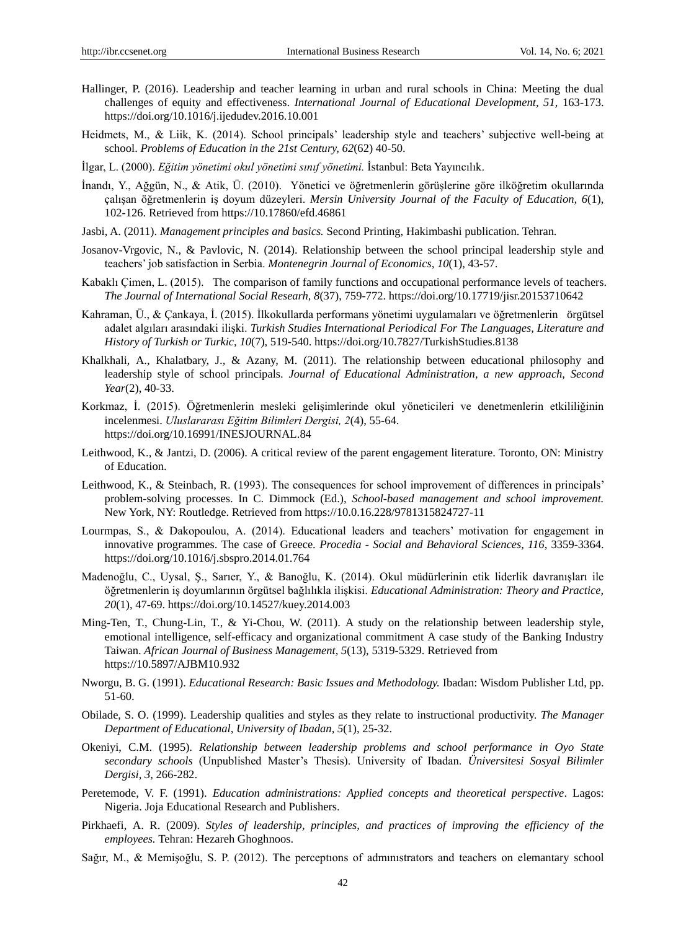- Hallinger, P. (2016). Leadership and teacher learning in urban and rural schools in China: Meeting the dual challenges of equity and effectiveness. *International Journal of Educational Development, 51,* 163-173. https://doi.org/10.1016/j.ijedudev.2016.10.001
- Heidmets, M., & Liik, K. (2014). School principals' leadership style and teachers' subjective well-being at school. *Problems of Education in the 21st Century, 62*(62) 40-50.
- İlgar, L. (2000). *Eğitim yönetimi okul yönetimi sınıf yönetimi.* İstanbul: Beta Yayıncılık.
- İnandı, Y., Ağgün, N., & Atik, Ü. (2010). Yönetici ve öğretmenlerin görüşlerine göre ilköğretim okullarında çalışan öğretmenlerin iş doyum düzeyleri. *Mersin University Journal of the Faculty of Education, 6*(1), 102-126. Retrieved fro[m https://10.17860/efd.46861](https://10.0.69.196/efd.46861)
- Jasbi, A. (2011). *Management principles and basics.* Second Printing, Hakimbashi publication. Tehran.
- Josanov-Vrgovic, N., & Pavlovic, N. (2014). Relationship between the school principal leadership style and teachers' job satisfaction in Serbia. *Montenegrin Journal of Economics, 10*(1), 43-57.
- Kabaklı Çimen, L. (2015). The comparison of family functions and occupational performance levels of teachers. *The Journal of International Social Researh, 8*(37), 759-772. https://doi.org/10.17719/jisr.20153710642
- Kahraman, Ü., & Çankaya, İ. (2015). İlkokullarda performans yönetimi uygulamaları ve öğretmenlerin örgütsel adalet algıları arasındaki ilişki. *Turkish Studies International Periodical For The Languages, Literature and History of Turkish or Turkic, 10*(7), 519-540. https://doi.org/10.7827/TurkishStudies.8138
- Khalkhali, A., Khalatbary, J., & Azany, M. (2011). The relationship between educational philosophy and leadership style of school principals. *Journal of Educational Administration, a new approach, Second Year*(2), 40-33.
- Korkmaz, İ. (2015). Öğretmenlerin mesleki gelişimlerinde okul yöneticileri ve denetmenlerin etkililiğinin incelenmesi. *Uluslararası Eğitim Bilimleri Dergisi, 2*(4), 55-64. https://doi.org/10.16991/INESJOURNAL.84
- Leithwood, K., & Jantzi, D. (2006). A critical review of the parent engagement literature. Toronto, ON: Ministry of Education.
- Leithwood, K., & Steinbach, R. (1993). The consequences for school improvement of differences in principals' problem-solving processes. In C. Dimmock (Ed.), *School-based management and school improvement.* New York, NY: Routledge. Retrieved from https://10.0.16.228/9781315824727-11
- Lourmpas, S., & Dakopoulou, A. (2014). Educational leaders and teachers' motivation for engagement in innovative programmes. The case of Greece. *Procedia - Social and Behavioral Sciences, 116*, 3359-3364. https://doi.org/10.1016/j.sbspro.2014.01.764
- Madenoğlu, C., Uysal, Ş., Sarıer, Y., & Banoğlu, K. (2014). Okul müdürlerinin etik liderlik davranışları ile öğretmenlerin iş doyumlarının örgütsel bağlılıkla ilişkisi. *Educational Administration: Theory and Practice, 20*(1), 47-69. https://doi.org/10.14527/kuey.2014.003
- Ming-Ten, T., Chung-Lin, T., & Yi-Chou, W. (2011). A study on the relationship between leadership style, emotional intelligence, self-efficacy and organizational commitment A case study of the Banking Industry Taiwan. *African Journal of Business Management, 5*(13), 5319-5329. Retrieved from [https://10.5897/AJBM10.932](https://10.0.23.9/AJBM10.932)
- Nworgu, B. G. (1991). *Educational Research: Basic Issues and Methodology.* Ibadan: Wisdom Publisher Ltd, pp. 51-60.
- Obilade, S. O. (1999). Leadership qualities and styles as they relate to instructional productivity. *The Manager Department of Educational, University of Ibadan, 5*(1), 25-32.
- Okeniyi, C.M. (1995). *Relationship between leadership problems and school performance in Oyo State secondary schools* (Unpublished Master's Thesis). University of Ibadan. *Üniversitesi Sosyal Bilimler Dergisi, 3*, 266-282.
- Peretemode, V. F. (1991). *Education administrations: Applied concepts and theoretical perspective*. Lagos: Nigeria. Joja Educational Research and Publishers.
- Pirkhaefi, A. R. (2009). *Styles of leadership, principles, and practices of improving the efficiency of the employees.* Tehran: Hezareh Ghoghnoos.
- Sağır, M., & Memişoğlu, S. P. (2012). The perceptıons of admınıstrators and teachers on elemantary school